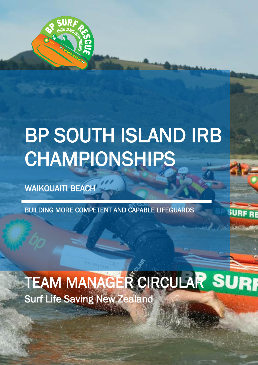

# BP SOUTH ISLAND IRB CHAMPIONSHIPS

WAIKOUAITI BEACH

27 MARCH 2021

BUILDING MORE COMPETENT AND CAPABLE LIFEGUARDS

Surf Life Saving New Zealand TEAM MANAGER CIRCULAR SURI

ww.surflife.org.nz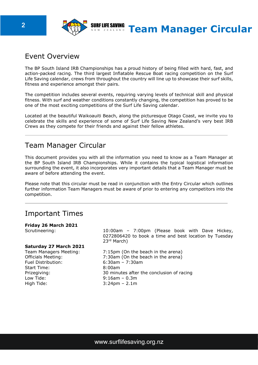

## Event Overview

The BP South Island IRB Championships has a proud history of being filled with hard, fast, and action-packed racing. The third largest Inflatable Rescue Boat racing competition on the Surf Life Saving calendar, crews from throughout the country will line up to showcase their surf skills, fitness and experience amongst their pairs.

The competition includes several events, requiring varying levels of technical skill and physical fitness. With surf and weather conditions constantly changing, the competition has proved to be one of the most exciting competitions of the Surf Life Saving calendar.

Located at the beautiful Waikoauiti Beach, along the picturesque Otago Coast, we invite you to celebrate the skills and experience of some of Surf Life Saving New Zealand's very best IRB Crews as they compete for their friends and against their fellow athletes.

## Team Manager Circular

This document provides you with all the information you need to know as a Team Manager at the BP South Island IRB Championships. While it contains the typical logistical information surrounding the event, it also incorporates very important details that a Team Manager must be aware of before attending the event.

Please note that this circular must be read in conjunction with the Entry Circular which outlines further information Team Managers must be aware of prior to entering any competitors into the competition.

## Important Times

#### **Friday 26 March 2021**

#### **Saturday 27 March 2021**

Fuel Distribution: 6:30am – 7:30am Start Time: 8:00am High Tide: 3:24pm – 2.1m

Scrutineering: 10:00am – 7:00pm (Please book with Dave Hickey, 0272806420 to book a time and best location by Tuesday 23rd March)

Team Managers Meeting: 7:15pm (On the beach in the arena) Officials Meeting: 7:30am (On the beach in the arena) Prizegiving: 30 minutes after the conclusion of racing<br>
Low Tide: 9:16am - 0.3m  $9:16$ am – 0.3m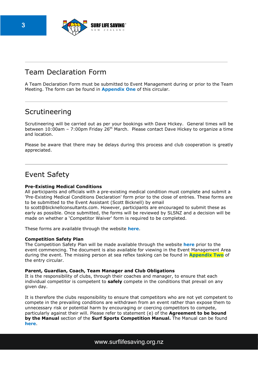

# Team Declaration Form

A Team Declaration Form must be submitted to Event Management during or prior to the Team Meeting. The form can be found in **Appendix One** of this circular.

# Scrutineering

Scrutineering will be carried out as per your bookings with Dave Hickey. General times will be between 10:00am – 7:00pm Friday 26<sup>th</sup> March. Please contact Dave Hickey to organize a time and location.

Please be aware that there may be delays during this process and club cooperation is greatly appreciated.

# Event Safety

#### **Pre-Existing Medical Conditions**

All participants and officials with a pre-existing medical condition must complete and submit a 'Pre-Existing Medical Conditions Declaration' form prior to the close of entries. These forms are to be submitted to the Event Assistant (Scott Bicknell) by email

to scott@bicknellconsultants.com. However, participants are encouraged to submit these as early as possible. Once submitted, the forms will be reviewed by SLSNZ and a decision will be made on whether a 'Competitor Waiver' form is required to be completed.

These forms are available through the website **[here](https://www.surflifesaving.org.nz/calendar/2021/march/2021-bp-surf-rescue-south-island-championships)**.

#### **Competition Safety Plan**

The Competition Safety Plan will be made available through the website **[here](https://www.surflifesaving.org.nz/calendar/2021/march/2021-bp-surf-rescue-south-island-championships)** prior to the event commencing. The document is also available for viewing in the Event Management Area during the event. The missing person at sea reflex tasking can be found in **Appendix Two** of the entry circular.

#### **Parent, Guardian, Coach, Team Manager and Club Obligations**

It is the responsibility of clubs, through their coaches and manager, to ensure that each individual competitor is competent to **safely** compete in the conditions that prevail on any given day.

It is therefore the clubs responsibility to ensure that competitors who are not yet competent to compete in the prevailing conditions are withdrawn from an event rather than expose them to unnecessary risk or potential harm by encouraging or coercing competitors to compete, particularly against their will. Please refer to statement (e) of the **Agreement to be bound by the Manual** section of the **Surf Sports Competition Manual.** The Manual can be found **[here](https://www.surflifesaving.org.nz/sport/official-coach-development/officials-tool-box)**.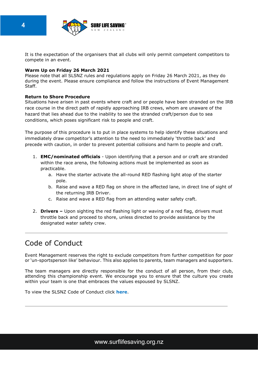

It is the expectation of the organisers that all clubs will only permit competent competitors to compete in an event.

#### **Warm Up on Friday 26 March 2021**

Please note that all SLSNZ rules and regulations apply on Friday 26 March 2021, as they do during the event. Please ensure compliance and follow the instructions of Event Management Staff.

#### **Return to Shore Procedure**

Situations have arisen in past events where craft and or people have been stranded on the IRB race course in the direct path of rapidly approaching IRB crews, whom are unaware of the hazard that lies ahead due to the inability to see the stranded craft/person due to sea conditions, which poses significant risk to people and craft.

The purpose of this procedure is to put in place systems to help identify these situations and immediately draw competitor's attention to the need to immediately 'throttle back' and precede with caution, in order to prevent potential collisions and harm to people and craft.

- 1. **EMC/nominated officials** Upon identifying that a person and or craft are stranded within the race arena, the following actions must be implemented as soon as practicable.
	- a. Have the starter activate the all-round RED flashing light atop of the starter pole.
	- b. Raise and wave a RED flag on shore in the affected lane, in direct line of sight of the returning IRB Driver.
	- c. Raise and wave a RED flag from an attending water safety craft.
- 2. **Drivers –** Upon sighting the red flashing light or waving of a red flag, drivers must throttle back and proceed to shore, unless directed to provide assistance by the designated water safety crew.

# Code of Conduct

Event Management reserves the right to exclude competitors from further competition for poor or 'un-sportsperson like' behaviour. This also applies to parents, team managers and supporters.

The team managers are directly responsible for the conduct of all person, from their club, attending this championship event. We encourage you to ensure that the culture you create within your team is one that embraces the values espoused by SLSNZ.

To view the SLSNZ Code of Conduct click **[here](https://www.surflifesaving.org.nz/about-us/key-documents/regulations)**.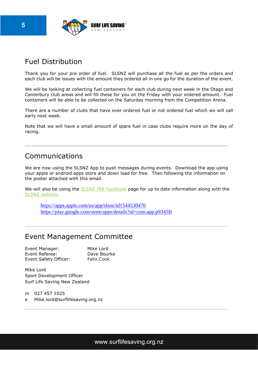

# Fuel Distribution

Thank you for your pre order of fuel. SLSNZ will purchase all the fuel as per the orders and each club will be issues with the amount they ordered all in one go for the duration of the event.

We will be looking at collecting fuel containers for each club during next week in the Otago and Canterbury club areas and will fill these for you on the Friday with your ordered amount. Fuel containers will be able to be collected on the Saturday morning from the Competition Arena.

There are a number of clubs that have over ordered fuel or not ordered fuel which we will call early next week.

Note that we will have a small amount of spare fuel in case clubs require more on the day of racing.

## Communications

We are now using the SLSNZ App to push messages during events. Download the app using your apple or android apps store and down load for free. Then following the information on the poster attached with this email.

We will also be using the SLSNZ IRB [Facebook](https://www.facebook.com/groups/273321807460698) page for up to date information along with the SLSNZ [website.](https://www.surflifesaving.org.nz/calendar/2021/march/2021-bp-surf-rescue-south-island-championships)

 <https://apps.apple.com/us/app/slsnz/id1544530476> <https://play.google.com/store/apps/details?id=com.app.p9345II>

## Event Management Committee

Event Manager: Mike Lord Event Referee: Dave Bourke Event Safety Officer: Felix Cook

Mike Lord Sport Development Officer Surf Life Saving New Zealand

m 027 457 1025 e Mike.lord@surflifesaving.org.nz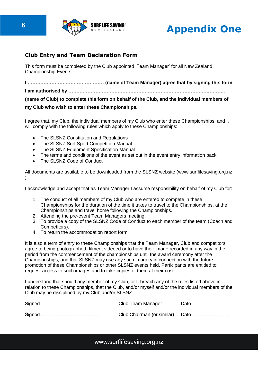



## **Club Entry and Team Declaration Form**

This form must be completed by the Club appointed 'Team Manager' for all New Zealand Championship Events.

**I ………………………………………… (name of Team Manager) agree that by signing this form I am authorised by …………………………………………………………………………….……….. (name of Club) to complete this form on behalf of the Club, and the individual members of my Club who wish to enter these Championships.**

I agree that, my Club, the individual members of my Club who enter these Championships, and I, will comply with the following rules which apply to these Championships:

- The SLSNZ Constitution and Regulations
- The SLSNZ Surf Sport Competition Manual
- The SLSNZ Equipment Specification Manual
- The terms and conditions of the event as set out in the event entry information pack
- The SLSNZ Code of Conduct

All documents are available to be downloaded from the SLSNZ website [\(www.surflifesaving.org.nz](http://www.surflifesaving.org.nz/) )

I acknowledge and accept that as Team Manager I assume responsibility on behalf of my Club for:

- 1. The conduct of all members of my Club who are entered to compete in these Championships for the duration of the time it takes to travel to the Championships, at the Championships and travel home following the Championships.
- 2. Attending the pre-event Team Managers meeting.
- 3. To provide a copy of the SLSNZ Code of Conduct to each member of the team (Coach and Competitors).
- 4. To return the accommodation report form.

It is also a term of entry to these Championships that the Team Manager, Club and competitors agree to being photographed, filmed, videoed or to have their image recorded in any way in the period from the commencement of the championships until the award ceremony after the Championships, and that SLSNZ may use any such imagery in connection with the future promotion of these Championships or other SLSNZ events held. Participants are entitled to request access to such images and to take copies of them at their cost.

I understand that should any member of my Club, or I, breach any of the rules listed above in relation to these Championships, that the Club, and/or myself and/or the individual members of the Club may be disciplined by my Club and/or SLSNZ.

| Club Team Manager | Date |
|-------------------|------|
|                   |      |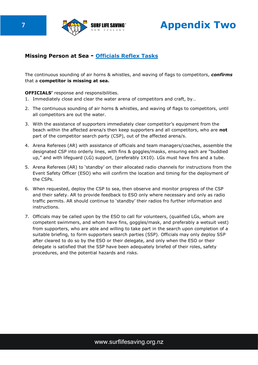

**7** *PHAPP* SURFUFE SAVING<sup>®</sup> **Appendix Two** 

## **Missing Person at Sea - Officials Reflex Tasks**

The continuous sounding of air horns & whistles, and waving of flags to competitors, *confirms*  that a **competitor is missing at sea.** 

#### **OFFICIALS'** response and responsibilities.

- 1. Immediately close and clear the water arena of competitors and craft, by…
- 2. The continuous sounding of air horns & whistles, and waving of flags to competitors, until all competitors are out the water.
- 3. With the assistance of supporters immediately clear competitor's equipment from the beach within the affected arena/s then keep supporters and all competitors, who are **not**  part of the competitor search party (CSP), out of the affected arena/s.
- 4. Arena Referees (AR) with assistance of officials and team managers/coaches, assemble the designated CSP into orderly lines, with fins & goggles/masks, ensuring each are "buddied up," and with lifeguard (LG) support, (preferably 1X10). LGs must have fins and a tube.
- 5. Arena Referees (AR) to 'standby' on their allocated radio channels for instructions from the Event Safety Officer (ESO) who will confirm the location and timing for the deployment of the CSPs.
- 6. When requested, deploy the CSP to sea, then observe and monitor progress of the CSP and their safety. AR to provide feedback to ESO only where necessary and only as radio traffic permits. AR should continue to 'standby' their radios fro further information and instructions.
- 7. Officials may be called upon by the ESO to call for volunteers, (qualified LGs, whom are competent swimmers, and whom have fins, goggles/mask, and preferably a wetsuit vest) from supporters, who are able and willing to take part in the search upon completion of a suitable briefing, to form supporters search parties (SSP). Officials may only deploy SSP after cleared to do so by the ESO or their delegate, and only when the ESO or their delegate is satisfied that the SSP have been adequately briefed of their roles, safety procedures, and the potential hazards and risks.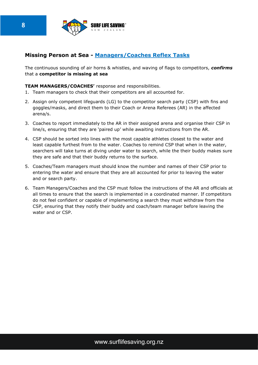

## **Missing Person at Sea - Managers/Coaches Reflex Tasks**

The continuous sounding of air horns & whistles, and waving of flags to competitors, *confirms*  that a **competitor is missing at sea** 

#### **TEAM MANAGERS/COACHES'** response and responsibilities.

- 1. Team managers to check that their competitors are all accounted for.
- 2. Assign only competent lifeguards (LG) to the competitor search party (CSP) with fins and goggles/masks, and direct them to their Coach or Arena Referees (AR) in the affected arena/s.
- 3. Coaches to report immediately to the AR in their assigned arena and organise their CSP in line/s, ensuring that they are 'paired up' while awaiting instructions from the AR.
- 4. CSP should be sorted into lines with the most capable athletes closest to the water and least capable furthest from to the water. Coaches to remind CSP that when in the water, searchers will take turns at diving under water to search, while the their buddy makes sure they are safe and that their buddy returns to the surface.
- 5. Coaches/Team managers must should know the number and names of their CSP prior to entering the water and ensure that they are all accounted for prior to leaving the water and or search party.
- 6. Team Managers/Coaches and the CSP must follow the instructions of the AR and officials at all times to ensure that the search is implemented in a coordinated manner. If competitors do not feel confident or capable of implementing a search they must withdraw from the CSP, ensuring that they notify their buddy and coach/team manager before leaving the water and or CSP.